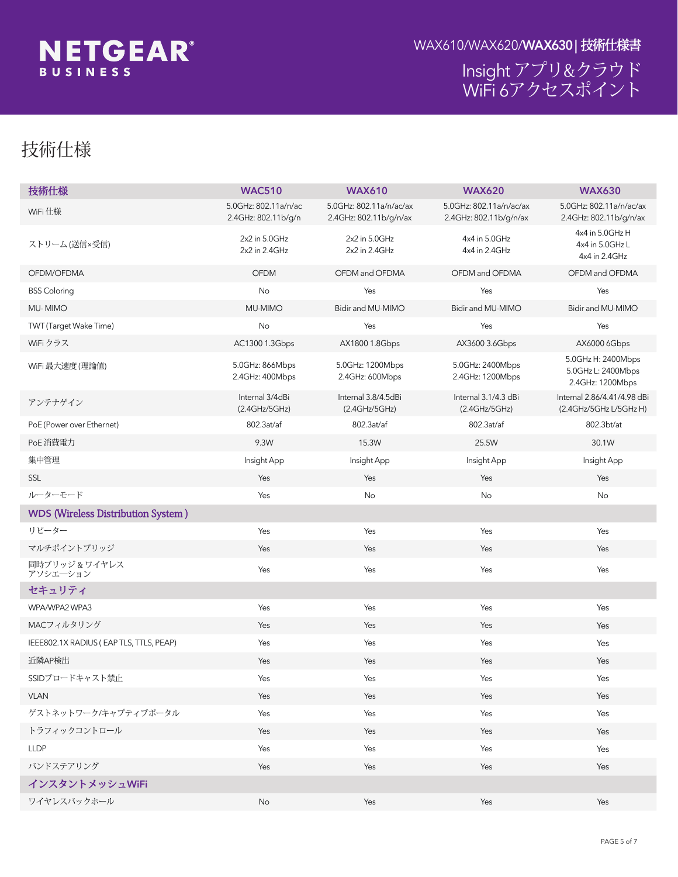

#### ∌g∏ヽhアプリ&クラウド K ]: ]\*アクセスポイント

## 技術仕様

| 技術仕様                                      | <b>WAC510</b>                                                                                                                                                                                                                                                                                                                                                                                   | <b>WAX610</b>                                                                                                                                                                                        | <b>WAX620</b>                                                                                                                                | <b>WAX630</b>                                                                                                                |  |  |
|-------------------------------------------|-------------------------------------------------------------------------------------------------------------------------------------------------------------------------------------------------------------------------------------------------------------------------------------------------------------------------------------------------------------------------------------------------|------------------------------------------------------------------------------------------------------------------------------------------------------------------------------------------------------|----------------------------------------------------------------------------------------------------------------------------------------------|------------------------------------------------------------------------------------------------------------------------------|--|--|
| K ]: ] 仕様                                 | ); <n' \$&"%%l#b#lw<br="" ,="">&amp;"(; <n, #b<="" \$&"%%v#="" td=""><td>&amp;"(; <n, #b#j <="" \$&"%%\#{="" td=""><td>&amp;"(; <n; #="" #b#u<="" \$&"%%="" td=""><td>); <n', \$&"%%u#b#u\#ui<br="">&amp;"(; <n, #b#u <="" #{="" \$&"%%\="" td=""></n,></n',></td></n;></td></n,></td></n,></n'>                                                                                                | &"(; <n, #b#j <="" \$&"%%\#{="" td=""><td>&amp;"(; <n; #="" #b#u<="" \$&"%%="" td=""><td>); <n', \$&"%%u#b#u\#ui<br="">&amp;"(; <n, #b#u <="" #{="" \$&"%%\="" td=""></n,></n',></td></n;></td></n,> | &"(; <n; #="" #b#u<="" \$&"%%="" td=""><td>); <n', \$&"%%u#b#u\#ui<br="">&amp;"(; <n, #b#u <="" #{="" \$&"%%\="" td=""></n,></n',></td></n;> | ); <n', \$&"%%u#b#u\#ui<br="">&amp;"(; <n, #b#u <="" #{="" \$&"%%\="" td=""></n,></n',>                                      |  |  |
| ストリーム 送信3受信と                              | $& 8$ $b$ ) $\cdot$ < n                                                                                                                                                                                                                                                                                                                                                                         | $& 2b$ ); <n<br>&amp; &amp; b &amp; (; &lt; n</n<br>                                                                                                                                                 | $(1()b)$ ; <n<br><math>(1()</math> b &amp; <math>(</math> ; <math>\le n</math></n<br>                                                        | $(1()b)$ ; <n\%<br><math>(1()b)</math>; <nl&<br><math>(1()</math> b &amp; <math>(</math> ; <n< th=""></n<></nl&<br></n\%<br> |  |  |
| $C: 8A \n\mathsf{K}: 8A 5$                | C: 8A                                                                                                                                                                                                                                                                                                                                                                                           | $C: 8A \times C: 8A 5$                                                                                                                                                                               | $C: 8A \times C: 8A 5$                                                                                                                       | $C: 8A \times C: 8A 5$                                                                                                       |  |  |
| 6GG'7c'cf]b[                              |                                                                                                                                                                                                                                                                                                                                                                                                 | $\circlearrowright$                                                                                                                                                                                  | $\circlearrowright$                                                                                                                          | $\bigcirc$                                                                                                                   |  |  |
| $A \mid A \neq C$                         | $\bigcirc$                                                                                                                                                                                                                                                                                                                                                                                      | $\circlearrowright$                                                                                                                                                                                  | $\bigcirc$                                                                                                                                   | $\bigcirc$                                                                                                                   |  |  |
| HK HIHUI[YhK U_Y'H]a YŁ                   | $\bigcirc$                                                                                                                                                                                                                                                                                                                                                                                      | $\bigcirc$                                                                                                                                                                                           | $\bigcirc$                                                                                                                                   | 0                                                                                                                            |  |  |
| K ]: ] クラス                                | 57% \$\$                                                                                                                                                                                                                                                                                                                                                                                        | 5L% \$\$1                                                                                                                                                                                            | 5L' *\$\$'                                                                                                                                   | 5L*\$\$\$                                                                                                                    |  |  |
| K ]: ]最大速度f理論値Ł                           | ) "\$; <n, **a="" vdg<br="">&amp;"(; <n (\$\$a="" th="" vdg<=""><th>) "\$; &lt; n %&amp;\$%A Vdg<br/><math>&amp; ( : <n (a="" )="" +="" dg)<="" math="" v=""></n></math></th><th>) "\$; &lt; n &amp; (\$&amp;A Vdg<br/>&amp;"(; &lt; n %% (+ A Vdg</th><th>); &lt; n'% &amp; (\$&amp;A Vdg<br/>); &lt; nl&amp; &amp; (\$&amp; A Vdg<br/>&amp;"(; <n ""%%(+a="" th="" vdg<=""></n></th></n></n,> | ) "\$; < n %&\$%A Vdg<br>$& ( : $                                                                                                                                                                    | ) "\$; < n & (\$&A Vdg<br>&"(; < n %% (+ A Vdg                                                                                               | ); < n'% & (\$&A Vdg<br>); < nl& & (\$& A Vdg<br>&"(; <n ""%%(+a="" th="" vdg<=""></n>                                       |  |  |
| アンテナゲイン                                   | <b>∌hYfbU</b> * #(X6]<br>$f\&($ ; $\langle \uparrow \psi \rangle$ ; $\langle \uparrow \psi \rangle$                                                                                                                                                                                                                                                                                             | <b>∌hYfbU</b> ", #(") X6]<br>$f\&T$ (; $\langle T\&T\&T\rangle$ ); $\langle T\&T\rangle$                                                                                                             | #HYfbU" "%#(" X6]<br>$f\&($ ; $\langle \uparrow \psi \rangle$ ; $\langle \uparrow \psi \rangle$                                              | <b>∌hYfbU</b> &", *#("(%#("-, X6]<br>$f\&''$ (; < n#); < n!%#); < n!& k                                                      |  |  |
| Dc 9 flDck Yf cj Yf 9h YfbYhL             | , \$&" Uh#UZ                                                                                                                                                                                                                                                                                                                                                                                    | , \$&" Uh#UZ                                                                                                                                                                                         | , \$&" Uh#UZ                                                                                                                                 | , \$&" VhiUh                                                                                                                 |  |  |
| Dc9消費電力                                   | $-$ "K                                                                                                                                                                                                                                                                                                                                                                                          | % " K                                                                                                                                                                                                | &) ") K                                                                                                                                      | 9%                                                                                                                           |  |  |
| 集中管理                                      | 卦g   \hモバイルアプリ/クラウドポータル                                                                                                                                                                                                                                                                                                                                                                         |                                                                                                                                                                                                      |                                                                                                                                              |                                                                                                                              |  |  |
| GG@                                       | $\bigcirc$                                                                                                                                                                                                                                                                                                                                                                                      | $\circlearrowright$                                                                                                                                                                                  | $\bigcirc$                                                                                                                                   | $\bigcirc$                                                                                                                   |  |  |
| ルーターモード                                   | $\bigcirc$                                                                                                                                                                                                                                                                                                                                                                                      |                                                                                                                                                                                                      |                                                                                                                                              |                                                                                                                              |  |  |
| <b>WDS</b> (Wireless Distribution System) |                                                                                                                                                                                                                                                                                                                                                                                                 |                                                                                                                                                                                                      |                                                                                                                                              |                                                                                                                              |  |  |
| リピーター                                     | $\circlearrowright$                                                                                                                                                                                                                                                                                                                                                                             | $\circlearrowright$                                                                                                                                                                                  | $\circlearrowright$                                                                                                                          | $\circlearrowright$                                                                                                          |  |  |
| マルチポイントブリッジ                               | $\bigcirc$                                                                                                                                                                                                                                                                                                                                                                                      | $\circ$                                                                                                                                                                                              | $\circlearrowright$                                                                                                                          | $\bigcirc$                                                                                                                   |  |  |
| 同時ブリッジ & ワイヤレス<br>アソシエ―ション                | $\bigcirc$                                                                                                                                                                                                                                                                                                                                                                                      | $\bigcirc$                                                                                                                                                                                           | $\circlearrowright$                                                                                                                          | $\bigcirc$                                                                                                                   |  |  |
| セキュリティ                                    |                                                                                                                                                                                                                                                                                                                                                                                                 |                                                                                                                                                                                                      |                                                                                                                                              |                                                                                                                              |  |  |
| K D5#K D5&K D5'                           | $\bigcirc$                                                                                                                                                                                                                                                                                                                                                                                      | $\bigcirc$                                                                                                                                                                                           | $\bigcirc$                                                                                                                                   | $\bigcirc$                                                                                                                   |  |  |
| A57フィルタリング                                | $\bigcirc$                                                                                                                                                                                                                                                                                                                                                                                      | $\circlearrowright$                                                                                                                                                                                  | $\circ$                                                                                                                                      | $\bigcirc$                                                                                                                   |  |  |
| IEEE, \$&"%XF58 + G(95DH@GžHH@GžD95D)     | $\bigcirc$                                                                                                                                                                                                                                                                                                                                                                                      | $\circlearrowright$                                                                                                                                                                                  | $\circlearrowright$                                                                                                                          | $\bigcirc$                                                                                                                   |  |  |
| 近隣5D検出                                    | $\bigcirc$                                                                                                                                                                                                                                                                                                                                                                                      | $\bigcirc$                                                                                                                                                                                           | $\bigcirc$                                                                                                                                   | $\bigcirc$                                                                                                                   |  |  |
| GG-8ブロードキャスト禁止                            | О                                                                                                                                                                                                                                                                                                                                                                                               | O                                                                                                                                                                                                    | O                                                                                                                                            | $\bigcirc$                                                                                                                   |  |  |
| J@5B                                      | $\bigcirc$                                                                                                                                                                                                                                                                                                                                                                                      | $\bigcirc$ .                                                                                                                                                                                         | $\bigcirc$                                                                                                                                   | $\bigcirc$                                                                                                                   |  |  |
| ゲストネットワーク#キャプティブポータル                      | $\bigcirc$                                                                                                                                                                                                                                                                                                                                                                                      | $\bigcirc$ .                                                                                                                                                                                         | $\circ$                                                                                                                                      | $\bigcirc$                                                                                                                   |  |  |
| トラフィックコントロール                              | $\bigcirc$                                                                                                                                                                                                                                                                                                                                                                                      | $\bigcirc$                                                                                                                                                                                           | $\circlearrowright$                                                                                                                          | $\bigcirc$                                                                                                                   |  |  |
| <b>LLDP</b>                               | $\circlearrowright$                                                                                                                                                                                                                                                                                                                                                                             | $\circlearrowright$                                                                                                                                                                                  | $\circlearrowright$                                                                                                                          | $\bigcirc$                                                                                                                   |  |  |
| バンドステアリング                                 | $\bigcirc$                                                                                                                                                                                                                                                                                                                                                                                      | $\circlearrowright$                                                                                                                                                                                  | $\circ$                                                                                                                                      | $\bigcirc$                                                                                                                   |  |  |
| インスタントメッシュWiFi                            |                                                                                                                                                                                                                                                                                                                                                                                                 |                                                                                                                                                                                                      |                                                                                                                                              |                                                                                                                              |  |  |
| ワイヤレスバックホール                               | $\qquad \qquad -$                                                                                                                                                                                                                                                                                                                                                                               | $\bigcirc$                                                                                                                                                                                           | $\bigcirc$                                                                                                                                   | $\bigcirc$                                                                                                                   |  |  |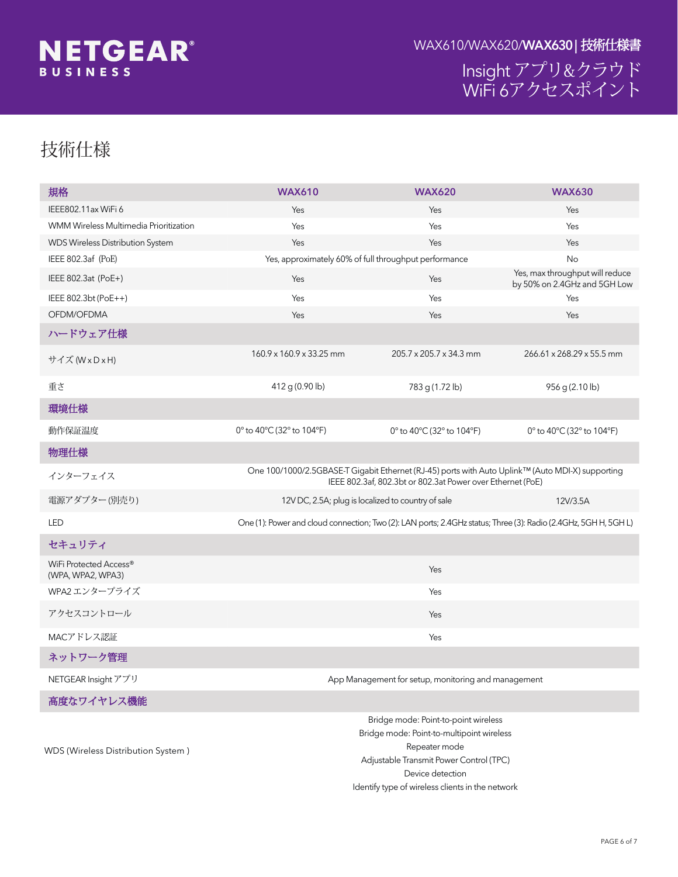

Insight<br>WiFi 6  $\&$ 

# U [ " 7

| F"                                           | <b>WAX610</b>                 |                               | <b>WAX620</b>                |                    | <b>WAX630</b>                 |     |
|----------------------------------------------|-------------------------------|-------------------------------|------------------------------|--------------------|-------------------------------|-----|
| D[L)L<br>, ( ( (                             | $\mathbf{u}$                  |                               | $\alpha$                     |                    | $\alpha$                      |     |
| :LUHOHVV 0XOWLPHGLD 3ULRULWL]DWLRQ<br>:00    |                               |                               | $\mathbf{u}$                 |                    | $\mathfrak{g}$                |     |
| :'6 :LUHOHVV 'LVWULEXWLRQ 6\VWHP             | $\mathfrak{c}\mathfrak{c}$    |                               | $\mathbf{u}$                 |                    | $\Omega$                      |     |
| <b>DI1P&amp;</b><br>, ( ( (                  | $\mathfrak{c}\mathfrak{c}$    | wĺÑ¥"ÚïµtMv                   |                              |                    | μ                             |     |
| D W<br>3R(<br>, ((                           | $\mathfrak{g}$                |                               | $\mathfrak{u}$               | $\boldsymbol{\mu}$ | wĺÑ¥"ÚïµtMv                   |     |
| , ( ( (<br>$EW$ 3R(                          | $\alpha$                      |                               | $\alpha$                     |                    | $\alpha$                      |     |
| $2)'0 2)'0$ \$                               | $\mathfrak{c}\mathfrak{c}$    |                               | $\mathfrak{u}$               |                    | $\mathfrak{g}$                |     |
| $E''$ Å¢£ž"7                                 |                               |                               |                              |                    |                               |     |
| $\pm$ 1 : [ $\pm$ [ $\pm$                    | $\mathfrak l$<br>$\mathbf{I}$ | ${\sf P}{\sf P}$              | $\mathbf{I}$<br>$\mathbf{I}$ | ${\sf P}{\sf P}$   | $\mathfrak l$<br>$\mathbf{I}$ | P P |
| $O^{\Lambda}$                                | J                             |                               | J                            |                    | J                             |     |
| ¥"7                                          |                               |                               |                              |                    |                               |     |
| $\hat{A}$ - $\hat{A}$ 9 S                    |                               |                               | ™ r&                         |                    |                               |     |
| úg"7                                         |                               |                               |                              |                    |                               |     |
| "±É¿ÄÙ"Ä                                     |                               | * 1 P & Ù "Ä                  |                              |                    | *1P&Ù"Ä.<br>* Ù "Ä.           |     |
| $?$ O Ž ¼ Ó »"<br>$\sim$ 14                  |                               | 9<br>$\sqrt[6]{\frac{1}{2}}$  |                              |                    | $\boldsymbol{\$}$<br>9        |     |
| $\frac{1}{2}$                                |                               | ?o «å¢Å-&% /\$1 /('           |                              | * * :/\$1 /('      |                               |     |
| $\cdot \circ$ áæÂŸ                           |                               |                               |                              |                    |                               |     |
| :L)L 3URWHFWHG \$FFHVVp<br>$:3\$ $:3\$ $:3\$ |                               |                               | $\boldsymbol{\mu}$           |                    |                               |     |
| :3\$ ¤ï»"Óå ¶                                |                               |                               | $\mathbf{u}$                 |                    |                               |     |
| ž«·µ <sup>-</sup> ïÄé"ç                      |                               |                               | $\mathbf{u}$                 |                    |                               |     |
| 0\$&žÅèµÝÂ                                   |                               |                               | $\boldsymbol{\mu}$           |                    |                               |     |
| É¿Äë"« g                                     |                               |                               |                              |                    |                               |     |
|                                              |                               | ÞÌ çžÓæt'"æÞ"Ä <sup>1</sup> g |                              |                    |                               |     |
|                                              |                               |                               |                              |                    |                               |     |